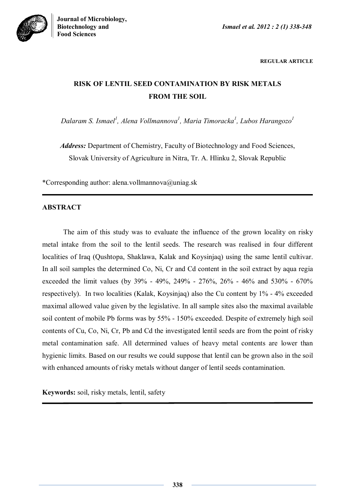



**REGULAR ARTICLE**

# **RISK OF LENTIL SEED CONTAMINATION BY RISK METALS FROM THE SOIL**

*Dalaram S. Ismael<sup>1</sup> , Alena Vollmannova<sup>1</sup> , Maria Timoracka<sup>1</sup> , Lubos Harangozo<sup>1</sup>*

*Address:* Department of Chemistry, Faculty of Biotechnology and Food Sciences, Slovak University of Agriculture in Nitra, Tr. A. Hlinku 2, Slovak Republic

\*Corresponding author: alena.vollmannova@uniag.sk

## **ABSTRACT**

The aim of this study was to evaluate the influence of the grown locality on risky metal intake from the soil to the lentil seeds. The research was realised in four different localities of Iraq (Qushtopa, Shaklawa, Kalak and Koysinjaq) using the same lentil cultivar. In all soil samples the determined Co, Ni, Cr and Cd content in the soil extract by aqua regia exceeded the limit values (by 39% - 49%, 249% - 276%, 26% - 46% and 530% - 670% respectively). In two localities (Kalak, Koysinjaq) also the Cu content by 1% - 4% exceeded maximal allowed value given by the legislative. In all sample sites also the maximal available soil content of mobile Pb forms was by 55% - 150% exceeded. Despite of extremely high soil contents of Cu, Co, Ni, Cr, Pb and Cd the investigated lentil seeds are from the point of risky metal contamination safe. All determined values of heavy metal contents are lower than hygienic limits. Based on our results we could suppose that lentil can be grown also in the soil with enhanced amounts of risky metals without danger of lentil seeds contamination.

**Keywords:** soil, risky metals, lentil, safety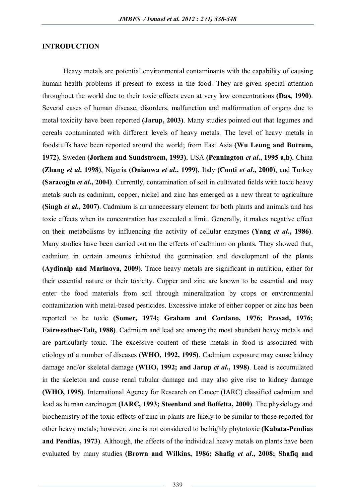#### **INTRODUCTION**

Heavy metals are potential environmental contaminants with the capability of causing human health problems if present to excess in the food. They are given special attention throughout the world due to their toxic effects even at very low concentrations **(Das, 1990)**. Several cases of human disease, disorders, malfunction and malformation of organs due to metal toxicity have been reported **(Jarup, 2003)**. Many studies pointed out that legumes and cereals contaminated with different levels of heavy metals. The level of heavy metals in foodstuffs have been reported around the world; from East Asia **(Wu Leung and Butrum, 1972)**, Sweden **(Jorhem and Sundstroem, 1993)**, USA **(Pennington** *et al***., 1995 a,b)**, China **(Zhang** *et al***. 1998)**, Nigeria **(Onianwa** *et al***., 1999)**, Italy **(Conti** *et al***., 2000)**, and Turkey **(Saracoglu** *et al.***, 2004)**. Currently, contamination of soil in cultivated fields with toxic heavy metals such as cadmium, copper, nickel and zinc has emerged as a new threat to agriculture **(Singh** *et al.***, 2007)**. Cadmium is an unnecessary element for both plants and animals and has toxic effects when its concentration has exceeded a limit. Generally, it makes negative effect on their metabolisms by influencing the activity of cellular enzymes **(Yang** *et al***., 1986)**. Many studies have been carried out on the effects of cadmium on plants. They showed that, cadmium in certain amounts inhibited the germination and development of the plants **(Aydinalp and Marinova, 2009)**. Trace heavy metals are significant in nutrition, either for their essential nature or their toxicity. Copper and zinc are known to be essential and may enter the food materials from soil through mineralization by crops or environmental contamination with metal-based pesticides. Excessive intake of either copper or zinc has been reported to be toxic **(Somer, 1974; Graham and Cordano, 1976; Prasad, 1976; Fairweather-Tait, 1988)**. Cadmium and lead are among the most abundant heavy metals and are particularly toxic. The excessive content of these metals in food is associated with etiology of a number of diseases **(WHO, 1992, 1995)**. Cadmium exposure may cause kidney damage and/or skeletal damage **(WHO, 1992; and Jarup** *et al***., 1998)**. Lead is accumulated in the skeleton and cause renal tubular damage and may also give rise to kidney damage **(WHO, 1995)**. International Agency for Research on Cancer (IARC) classified cadmium and lead as human carcinogen **(IARC, 1993; Steenland and Boffetta, 2000)**. The physiology and biochemistry of the toxic effects of zinc in plants are likely to be similar to those reported for other heavy metals; however, zinc is not considered to be highly phytotoxic **(Kabata-Pendias and Pendias, 1973)**. Although, the effects of the individual heavy metals on plants have been evaluated by many studies **(Brown and Wilkins, 1986; Shafig** *et al***., 2008; Shafiq and**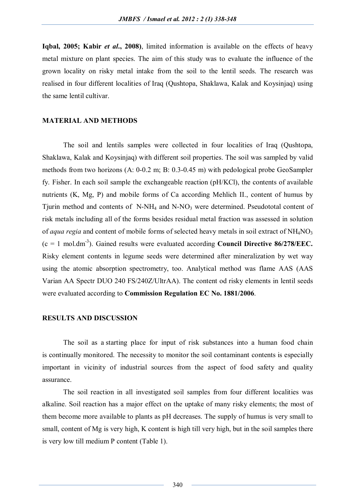**Iqbal, 2005; Kabir** *et al.***, 2008**), limited information is available on the effects of heavy metal mixture on plant species. The aim of this study was to evaluate the influence of the grown locality on risky metal intake from the soil to the lentil seeds. The research was realised in four different localities of Iraq (Qushtopa, Shaklawa, Kalak and Koysinjaq) using the same lentil cultivar.

#### **MATERIAL AND METHODS**

The soil and lentils samples were collected in four localities of Iraq (Qushtopa, Shaklawa, Kalak and Koysinjaq) with different soil properties. The soil was sampled by valid methods from two horizons (A: 0-0.2 m; B: 0.3-0.45 m) with pedological probe GeoSampler fy. Fisher. In each soil sample the exchangeable reaction (pH/KCl), the contents of available nutrients (K, Mg, P) and mobile forms of Ca according Mehlich II., content of humus by Tjurin method and contents of N-NH<sup>4</sup> and N-NO<sup>3</sup> were determined. Pseudototal content of risk metals including all of the forms besides residual metal fraction was assessed in solution of *aqua regia* and content of mobile forms of selected heavy metals in soil extract of NH<sub>4</sub>NO<sub>3</sub>  $(c = 1 \text{ mol.dim}^3)$ . Gained results were evaluated according **Council Directive 86/278/EEC.** Risky element contents in legume seeds were determined after mineralization by wet way using the atomic absorption spectrometry, too. Analytical method was flame AAS (AAS Varian AA Spectr DUO 240 FS/240Z/UltrAA). The content od risky elements in lentil seeds were evaluated according to **Commission Regulation EC No. 1881/2006**.

#### **RESULTS AND DISCUSSION**

The soil as a starting place for input of risk substances into a human food chain is continually monitored. The necessity to monitor the soil contaminant contents is especially important in vicinity of industrial sources from the aspect of food safety and quality assurance.

The soil reaction in all investigated soil samples from four different localities was alkaline. Soil reaction has a major effect on the uptake of many risky elements; the most of them become more available to plants as pH decreases. The supply of humus is very small to small, content of Mg is very high, K content is high till very high, but in the soil samples there is very low till medium P content (Table 1).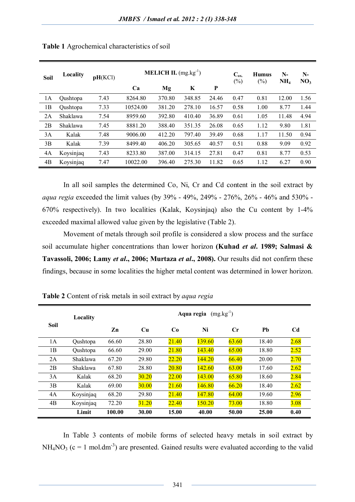| Soil | Locality  | pH(KCl) |          | <b>MELICH II.</b> $(mg.kg^{-1})$ |        | $C_{ox.}$<br>$(\%)$ | <b>Humus</b><br>(%) | $N-$<br>NH <sub>4</sub> | $N-$<br>NO <sub>3</sub> |      |
|------|-----------|---------|----------|----------------------------------|--------|---------------------|---------------------|-------------------------|-------------------------|------|
|      |           |         | Ca       | Mg                               | K      | P                   |                     |                         |                         |      |
| 1A   | Qushtopa  | 7.43    | 8264.80  | 370.80                           | 348.85 | 24.46               | 0.47                | 0.81                    | 12.00                   | 1.56 |
| 1B   | Qushtopa  | 7.33    | 10524.00 | 381.20                           | 278.10 | 16.57               | 0.58                | 1.00                    | 8.77                    | 1.44 |
| 2A   | Shaklawa  | 7.54    | 8959.60  | 392.80                           | 410.40 | 36.89               | 0.61                | 1.05                    | 11.48                   | 4.94 |
| 2B   | Shaklawa  | 7.45    | 8881.20  | 388.40                           | 351.35 | 26.08               | 0.65                | 1.12                    | 9.80                    | 1.81 |
| 3A   | Kalak     | 7.48    | 9006.00  | 412.20                           | 797.40 | 39.49               | 0.68                | 1.17                    | 11.50                   | 0.94 |
| 3B   | Kalak     | 7.39    | 8499.40  | 406.20                           | 305.65 | 40.57               | 0.51                | 0.88                    | 9.09                    | 0.92 |
| 4A   | Koysinjaq | 7.43    | 8233.80  | 387.00                           | 314.15 | 27.81               | 0.47                | 0.81                    | 8.77                    | 0.53 |
| 4B   | Koysinjaq | 7.47    | 10022.00 | 396.40                           | 275.30 | 11.82               | 0.65                | 1.12                    | 6.27                    | 0.90 |

In all soil samples the determined Co, Ni, Cr and Cd content in the soil extract by *aqua regia* exceeded the limit values (by 39% - 49%, 249% - 276%, 26% - 46% and 530% - 670% respectively). In two localities (Kalak, Koysinjaq) also the Cu content by 1-4% exceeded maximal allowed value given by the legislative (Table 2).

Movement of metals through soil profile is considered a slow process and the surface soil accumulate higher concentrations than lower horizon **(Kuhad** *et al***. 1989; Salmasi & Tavassoli, 2006; Lamy** *et al***., 2006; Murtaza** *et al***., 2008).** Our results did not confirm these findings, because in some localities the higher metal content was determined in lower horizon.

|             | Locality  | $(mg.kg^{-1})$<br>Aqua regia |       |       |        |                |       |      |  |  |
|-------------|-----------|------------------------------|-------|-------|--------|----------------|-------|------|--|--|
| <b>Soil</b> |           | Zn                           | Cu    | Co    | Ni     | $\mathbf{C}$ r | Pb    | Cd   |  |  |
| 1A          | Qushtopa  | 66.60                        | 28.80 | 21.40 | 139.60 | 63.60          | 18.40 | 2.68 |  |  |
| 1B          | Qushtopa  | 66.60                        | 29.00 | 21.80 | 143.40 | 65.00          | 18.80 | 2.52 |  |  |
| 2A          | Shaklawa  | 67.20                        | 29.80 | 22.20 | 144.20 | 66.40          | 20.00 | 2.70 |  |  |
| 2B          | Shaklawa  | 67.80                        | 28.80 | 20.80 | 142.60 | 63.00          | 17.60 | 2.62 |  |  |
| 3A          | Kalak     | 68.20                        | 30.20 | 22.00 | 143.00 | 65.80          | 18.60 | 2.84 |  |  |
| 3B          | Kalak     | 69.00                        | 30.00 | 21.60 | 146.80 | 66.20          | 18.40 | 2.62 |  |  |
| 4A          | Koysinjaq | 68.20                        | 29.80 | 21.40 | 147.80 | 64.00          | 19.60 | 2.96 |  |  |
| 4B          | Koysinjaq | 72.20                        | 31.20 | 22.40 | 150.20 | 73.00          | 18.80 | 3.08 |  |  |
|             | Limit     | 100.00                       | 30.00 | 15.00 | 40.00  | 50.00          | 25.00 | 0.40 |  |  |

**Table 2** Content of risk metals in soil extract by *aqua regia*

In Table 3 contents of mobile forms of selected heavy metals in soil extract by  $NH<sub>4</sub>NO<sub>3</sub>$  (c = 1 mol.dm<sup>-3</sup>) are presented. Gained results were evaluated according to the valid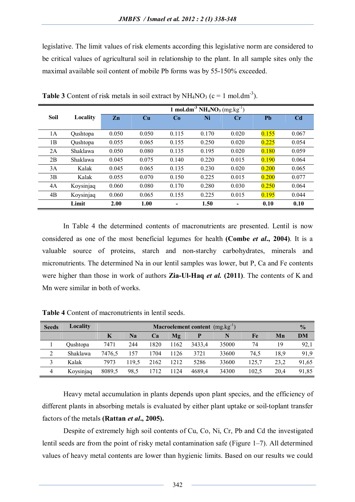legislative. The limit values of risk elements according this legislative norm are considered to be critical values of agricultural soil in relationship to the plant. In all sample sites only the maximal available soil content of mobile Pb forms was by 55-150% exceeded.

|             |           | 1 mol.dm <sup>-3</sup> $NH_4NO_3$ (mg.kg <sup>-1</sup> ) |                        |       |       |                |       |                |  |
|-------------|-----------|----------------------------------------------------------|------------------------|-------|-------|----------------|-------|----------------|--|
| <b>Soil</b> | Locality  | $Z_{n}$                                                  | $\mathbf{C}\mathbf{u}$ | Co    | Ni    | $\mathbf{C}$ r | Pb    | C <sub>d</sub> |  |
|             |           |                                                          |                        |       |       |                |       |                |  |
| 1A          | Qushtopa  | 0.050                                                    | 0.050                  | 0.115 | 0.170 | 0.020          | 0.155 | 0.067          |  |
| 1B          | Qushtopa  | 0.055                                                    | 0.065                  | 0.155 | 0.250 | 0.020          | 0.225 | 0.054          |  |
| 2A          | Shaklawa  | 0.050                                                    | 0.080                  | 0.135 | 0.195 | 0.020          | 0.180 | 0.059          |  |
| 2B          | Shaklawa  | 0.045                                                    | 0.075                  | 0.140 | 0.220 | 0.015          | 0.190 | 0.064          |  |
| 3A          | Kalak     | 0.045                                                    | 0.065                  | 0.135 | 0.230 | 0.020          | 0.200 | 0.065          |  |
| 3B          | Kalak     | 0.055                                                    | 0.070                  | 0.150 | 0.225 | 0.015          | 0.200 | 0.077          |  |
| 4A          | Koysinjaq | 0.060                                                    | 0.080                  | 0.170 | 0.280 | 0.030          | 0.250 | 0.064          |  |
| 4B          | Koysinjaq | 0.060                                                    | 0.065                  | 0.155 | 0.225 | 0.015          | 0.195 | 0.044          |  |
|             | Limit     | 2.00                                                     | 1.00                   |       | 1.50  |                | 0.10  | 0.10           |  |

**Table 3** Content of risk metals in soil extract by  $NH_4NO_3$  ( $c = 1$  mol.dm<sup>-3</sup>).

In Table 4 the determined contents of macronutrients are presented. Lentil is now considered as one of the most beneficial legumes for health **(Combe** *et al***., 2004)**. It is a valuable source of proteins, starch and non-starchy carbohydrates, minerals and micronutrients. The determined Na in our lentil samples was lower, but P, Ca and Fe contents were higher than those in work of authors **Zia-Ul-Haq** *et al.* **(2011)**. The contents of K and Mn were similar in both of works.

| <b>Seeds</b> | Locality  | <b>Macroelement content</b> $(mg_kkg^{-1})$ |       |      |      |        |       |       |      | $\frac{0}{0}$ |
|--------------|-----------|---------------------------------------------|-------|------|------|--------|-------|-------|------|---------------|
|              |           | K                                           | Na    | Ca   | Mg   |        |       | Fe    | Mn   | DM            |
|              | Qushtopa  | 7471                                        | 244   | 1820 | 1162 | 3433.4 | 35000 | 74    | 19   | 92,1          |
| 2            | Shaklawa  | 7476.5                                      | 157   | 1704 | 1126 | 3721   | 33600 | 74.5  | 18,9 | 91,9          |
| 3            | Kalak     | 7973                                        | 119.5 | 2162 | 1212 | 5286   | 33600 | 125,7 | 23,2 | 91,65         |
| 4            | Koysinjaq | 8089,5                                      | 98,5  | 1712 | 1124 | 4689.4 | 34300 | 102,5 | 20.4 | 91,85         |

**Table 4** Content of macronutrients in lentil seeds.

Heavy metal accumulation in plants depends upon plant species, and the efficiency of different plants in absorbing metals is evaluated by either plant uptake or soil-toplant transfer factors of the metals **(Rattan** *et al***., 2005).**

Despite of extremely high soil contents of Cu, Co, Ni, Cr, Pb and Cd the investigated lentil seeds are from the point of risky metal contamination safe (Figure 1–7). All determined values of heavy metal contents are lower than hygienic limits. Based on our results we could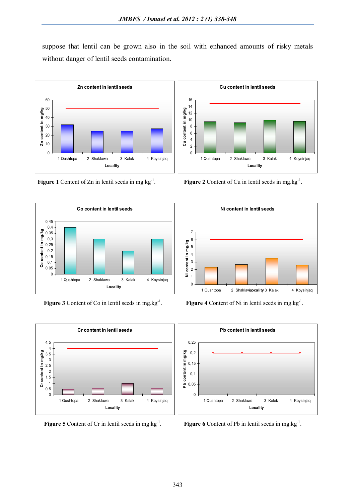suppose that lentil can be grown also in the soil with enhanced amounts of risky metals without danger of lentil seeds contamination.



Figure 1 Content of Zn in lentil seeds in mg.kg<sup>-1</sup>.



Figure 3 Content of Co in lentil seeds in mg.kg<sup>-1</sup>.



**Figure 5** Content of Cr in lentil seeds in mg.kg<sup>-1</sup>.



**Figure 2** Content of Cu in lentil seeds in mg.kg<sup>-1</sup>.



**Figure 4** Content of Ni in lentil seeds in mg.kg<sup>-1</sup>.



**Figure 6** Content of Pb in lentil seeds in mg.kg<sup>-1</sup>.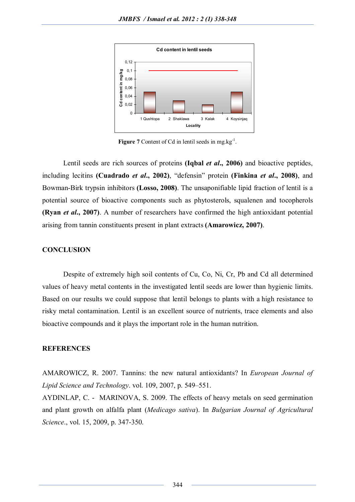

**Figure 7** Content of Cd in lentil seeds in mg.kg $^{-1}$ .

Lentil seeds are rich sources of proteins **(Iqbal** *et al***., 2006)** and bioactive peptides, including lecitins **(Cuadrado** *et al***., 2002)**, "defensin" protein **(Finkina** *et al***., 2008)**, and Bowman-Birk trypsin inhibitors **(Losso, 2008)**. The unsaponifiable lipid fraction of lentil is a potential source of bioactive components such as phytosterols, squalenen and tocopherols **(Ryan** *et al***., 2007)**. A number of researchers have confirmed the high antioxidant potential arising from tannin constituents present in plant extracts **(Amarowicz, 2007)**.

#### **CONCLUSION**

Despite of extremely high soil contents of Cu, Co, Ni, Cr, Pb and Cd all determined values of heavy metal contents in the investigated lentil seeds are lower than hygienic limits. Based on our results we could suppose that lentil belongs to plants with a high resistance to risky metal contamination. Lentil is an excellent source of nutrients, trace elements and also bioactive compounds and it plays the important role in the human nutrition.

### **REFERENCES**

AMAROWICZ, R. 2007. Tannins: the new natural antioxidants? In *European Journal of Lipid Science and Technology*. vol. 109, 2007, p. 549–551.

AYDINLAP, C. - MARINOVA, S. 2009. The effects of heavy metals on seed germination and plant growth on alfalfa plant (*Medicago sativa*). In *Bulgarian Journal of Agricultural Science*., vol. 15, 2009, p. 347-350.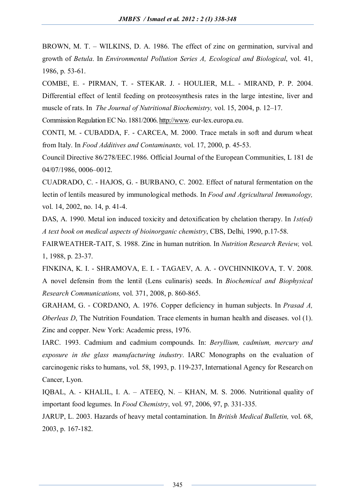BROWN, M. T. – WILKINS, D. A. 1986. The effect of zinc on germination, survival and growth of *Betula*. In *Environmental Pollution Series A, Ecological and Biological*, vol. 41, 1986, p. 53-61.

COMBE, E. - PIRMAN, T. - STEKAR. J. - HOULIER, M.L. - MIRAND, P. P. 2004. Differential effect of lentil feeding on proteosynthesis rates in the large intestine, liver and muscle of rats. In *The Journal of Nutritional Biochemistry,* vol. 15, 2004, p. 12–17.

Commission Regulation EC No. 1881/2006. http://www. eur-lex.europa.eu.

CONTI, M. - CUBADDA, F. - CARCEA, M. 2000. Trace metals in soft and durum wheat from Italy. In *Food Additives and Contaminants,* vol. 17, 2000, p. 45-53.

Council Directive 86/278/EEC.1986. Official Journal of the European Communities, L 181 de 04/07/1986, 0006–0012.

CUADRADO, C. - HAJOS, G. - BURBANO, C. 2002. Effect of natural fermentation on the lectin of lentils measured by immunological methods. In *Food and Agricultural Immunology,* vol. 14, 2002, no. 14, p. 41-4.

DAS, A. 1990. Metal ion induced toxicity and detoxification by chelation therapy. In *1st(ed) A text book on medical aspects of bioinorganic chemistry*, CBS, Delhi, 1990, p.17-58.

FAIRWEATHER-TAIT, S. 1988. Zinc in human nutrition. In *Nutrition Research Review,* vol. 1, 1988, p. 23-37.

FINKINA, K. I. - SHRAMOVA, E. I. - TAGAEV, A. A. - OVCHINNIKOVA, T. V. 2008. A novel defensin from the lentil (Lens culinaris) seeds. In *Biochemical and Biophysical Research Communications,* vol. 371, 2008, p. 860-865.

GRAHAM, G. - CORDANO, A. 1976. Copper deficiency in human subjects. In *Prasad A, Oberleas D*, The Nutrition Foundation. Trace elements in human health and diseases. vol (1). Zinc and copper. New York: Academic press, 1976.

IARC. 1993. Cadmium and cadmium compounds. In: *Beryllium, cadmium, mercury and exposure in the glass manufacturing industry*. IARC Monographs on the evaluation of carcinogenic risks to humans, vol. 58, 1993, p. 119-237, International Agency for Research on Cancer, Lyon.

IQBAL, A. - KHALIL, I. A. – ATEEQ, N. – KHAN, M. S. 2006. Nutritional quality of important food legumes. In *Food Chemistry*, vol. 97, 2006, 97, p. 331-335.

JARUP, L. 2003. Hazards of heavy metal contamination. In *British Medical Bulletin,* vol. 68, 2003, p. 167-182.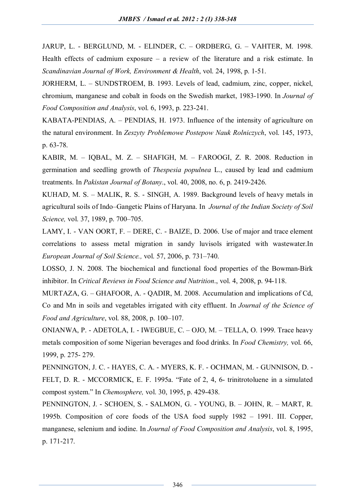JARUP, L. - BERGLUND, M. - ELINDER, C. – ORDBERG, G. – VAHTER, M. 1998. Health effects of cadmium exposure – a review of the literature and a risk estimate. In *Scandinavian Journal of Work, Environment & Health*, vol. 24, 1998, p. 1-51.

JORHERM, L. – SUNDSTROEM, B. 1993. Levels of lead, cadmium, zinc, copper, nickel, chromium, manganese and cobalt in foods on the Swedish market, 1983-1990. In *Journal of Food Composition and Analysis*, vol. 6, 1993, p. 223-241.

KABATA-PENDIAS, A. – PENDIAS, H. 1973. Influence of the intensity of agriculture on the natural environment. In *Zeszyty Problemowe Postepow Nauk Rolniczych*, vol. 145, 1973, p. 63-78.

KABIR, M. – IQBAL, M. Z. – SHAFIGH, M. – FAROOGI, Z. R. 2008. Reduction in germination and seedling growth of *Thespesia populnea* L., caused by lead and cadmium treatments. In *Pakistan Journal of Botany*., vol. 40, 2008, no. 6, p. 2419-2426.

KUHAD, M. S. – MALIK, R. S. - SINGH, A. 1989. Background levels of heavy metals in agricultural soils of Indo–Gangetic Plains of Haryana. In *Journal of the Indian Society of Soil Science,* vol. 37, 1989, p. 700–705.

LAMY, I. - VAN OORT, F. – DERE, C. - BAIZE, D. 2006. Use of major and trace element correlations to assess metal migration in sandy luvisols irrigated with wastewater.In *European Journal of Soil Science.,* vol. 57, 2006, p. 731–740.

LOSSO, J. N. 2008. The biochemical and functional food properties of the Bowman-Birk inhibitor. In *Critical Reviews in Food Science and Nutrition*., vol. 4, 2008, p. 94-118.

MURTAZA, G. – GHAFOOR, A. - QADIR, M. 2008. Accumulation and implications of Cd, Co and Mn in soils and vegetables irrigated with city effluent. In *Journal of the Science of Food and Agriculture*, vol. 88, 2008, p. 100–107.

ONIANWA, P. - ADETOLA, I. - IWEGBUE, C. – OJO, M. – TELLA, O. 1999. Trace heavy metals composition of some Nigerian beverages and food drinks. In *Food Chemistry,* vol. 66, 1999, p. 275- 279.

PENNINGTON, J. C. - HAYES, C. A. - MYERS, K. F. - OCHMAN, M. - GUNNISON, D. - FELT, D. R. - MCCORMICK, E. F. 1995a. "Fate of 2, 4, 6- trinitrotoluene in a simulated compost system." In *Chemosphere,* vol. 30, 1995, p. 429-438.

PENNINGTON, J. - SCHOEN, S. - SALMON, G. - YOUNG, B. – JOHN, R. – MART, R. 1995b. Composition of core foods of the USA food supply 1982 – 1991. III. Copper, manganese, selenium and iodine. In *Journal of Food Composition and Analysis*, vol. 8, 1995, p. 171-217.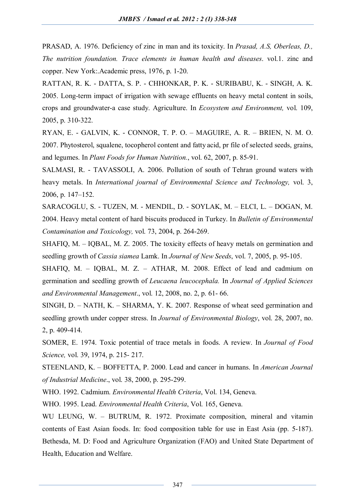PRASAD, A. 1976. Deficiency of zinc in man and its toxicity. In *Prasad, A.S, Oberleas, D., The nutrition foundation. Trace elements in human health and diseases*. vol.1. zinc and copper. New York:.Academic press, 1976, p. 1-20.

RATTAN, R. K. - DATTA, S. P. - CHHONKAR, P. K. - SURIBABU, K. - SINGH, A. K. 2005. Long-term impact of irrigation with sewage effluents on heavy metal content in soils, crops and groundwater-a case study. Agriculture. In *Ecosystem and Environment,* vol. 109, 2005, p. 310-322.

RYAN, E. - GALVIN, K. - CONNOR, T. P. O. – MAGUIRE, A. R. – BRIEN, N. M. O. 2007. Phytosterol, squalene, tocopherol content and fatty acid, pr file of selected seeds, grains, and legumes. In *Plant Foods for Human Nutrition.*, vol. 62, 2007, p. 85-91.

SALMASI, R. - TAVASSOLI, A. 2006. Pollution of south of Tehran ground waters with heavy metals. In *International journal of Environmental Science and Technology,* vol. 3, 2006, p. 147–152.

SARACOGLU, S. - TUZEN, M. - MENDIL, D. - SOYLAK, M. – ELCI, L. – DOGAN, M. 2004. Heavy metal content of hard biscuits produced in Turkey. In *Bulletin of Environmental Contamination and Toxicology,* vol. 73, 2004, p. 264-269.

SHAFIQ, M. – IQBAL, M. Z. 2005. The toxicity effects of heavy metals on germination and seedling growth of *Cassia siamea* Lamk. In *Journal of New Seeds*, vol. 7, 2005, p. 95-105.

SHAFIQ, M. – IQBAL, M. Z. – ATHAR, M. 2008. Effect of lead and cadmium on germination and seedling growth of *Leucaena leucocephala.* In *Journal of Applied Sciences and Environmental Management*., vol. 12, 2008, no. 2, p. 61- 66.

SINGH, D. – NATH, K. – SHARMA, Y. K. 2007. Response of wheat seed germination and seedling growth under copper stress. In *Journal of Environmental Biology*, vol. 28, 2007, no. 2, p. 409-414.

SOMER, E. 1974. Toxic potential of trace metals in foods. A review. In *Journal of Food Science,* vol. 39, 1974, p. 215- 217.

STEENLAND, K. – BOFFETTA, P. 2000. Lead and cancer in humans. In *American Journal of Industrial Medicine*., vol. 38, 2000, p. 295-299.

WHO. 1992. Cadmium. *Environmental Health Criteria*, Vol. 134, Geneva.

WHO. 1995. Lead. *Environmental Health Criteria*, Vol. 165, Geneva.

WU LEUNG, W. – BUTRUM, R. 1972. Proximate composition, mineral and vitamin contents of East Asian foods. In: food composition table for use in East Asia (pp. 5-187). Bethesda, M. D: Food and Agriculture Organization (FAO) and United State Department of Health, Education and Welfare.